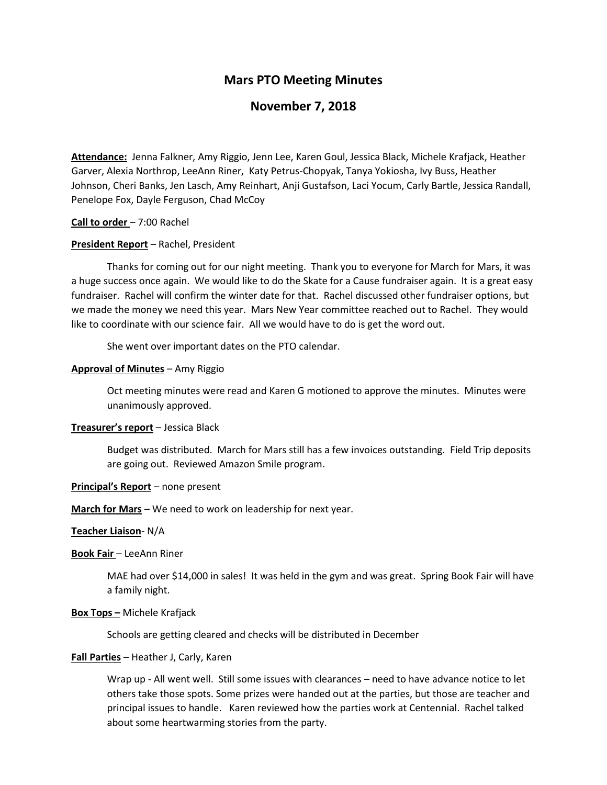# **Mars PTO Meeting Minutes**

# **November 7, 2018**

**Attendance:** Jenna Falkner, Amy Riggio, Jenn Lee, Karen Goul, Jessica Black, Michele Krafjack, Heather Garver, Alexia Northrop, LeeAnn Riner, Katy Petrus-Chopyak, Tanya Yokiosha, Ivy Buss, Heather Johnson, Cheri Banks, Jen Lasch, Amy Reinhart, Anji Gustafson, Laci Yocum, Carly Bartle, Jessica Randall, Penelope Fox, Dayle Ferguson, Chad McCoy

### **Call to order** – 7:00 Rachel

### **President Report** – Rachel, President

Thanks for coming out for our night meeting. Thank you to everyone for March for Mars, it was a huge success once again. We would like to do the Skate for a Cause fundraiser again. It is a great easy fundraiser. Rachel will confirm the winter date for that. Rachel discussed other fundraiser options, but we made the money we need this year. Mars New Year committee reached out to Rachel. They would like to coordinate with our science fair. All we would have to do is get the word out.

She went over important dates on the PTO calendar.

### **Approval of Minutes** – Amy Riggio

Oct meeting minutes were read and Karen G motioned to approve the minutes. Minutes were unanimously approved.

## **Treasurer's report** – Jessica Black

Budget was distributed. March for Mars still has a few invoices outstanding. Field Trip deposits are going out. Reviewed Amazon Smile program.

#### **Principal's Report** – none present

**March for Mars** – We need to work on leadership for next year.

#### **Teacher Liaison**- N/A

#### **Book Fair** – LeeAnn Riner

MAE had over \$14,000 in sales! It was held in the gym and was great. Spring Book Fair will have a family night.

### **Box Tops –** Michele Krafjack

Schools are getting cleared and checks will be distributed in December

#### **Fall Parties** – Heather J, Carly, Karen

Wrap up - All went well. Still some issues with clearances – need to have advance notice to let others take those spots. Some prizes were handed out at the parties, but those are teacher and principal issues to handle. Karen reviewed how the parties work at Centennial. Rachel talked about some heartwarming stories from the party.